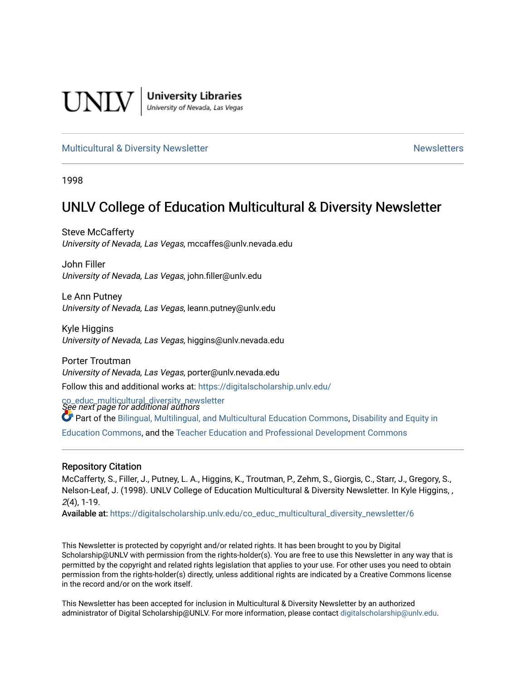

**University Libraries**<br>University of Nevada, Las Vegas

## [Multicultural & Diversity Newsletter](https://digitalscholarship.unlv.edu/co_educ_multicultural_diversity_newsletter) Newsletter [Newsletters](https://digitalscholarship.unlv.edu/co_educ_newsletters) Newsletters

1998

# UNLV College of Education Multicultural & Diversity Newsletter

Steve McCafferty University of Nevada, Las Vegas, mccaffes@unlv.nevada.edu

John Filler University of Nevada, Las Vegas, john.filler@unlv.edu

Le Ann Putney University of Nevada, Las Vegas, leann.putney@unlv.edu

Kyle Higgins University of Nevada, Las Vegas, higgins@unlv.nevada.edu

Porter Troutman University of Nevada, Las Vegas, porter@unlv.nevada.edu Follow this and additional works at: [https://digitalscholarship.unlv.edu/](https://digitalscholarship.unlv.edu/co_educ_multicultural_diversity_newsletter?utm_source=digitalscholarship.unlv.edu%2Fco_educ_multicultural_diversity_newsletter%2F6&utm_medium=PDF&utm_campaign=PDFCoverPages)

co\_educ\_multicultural\_diversity\_newsletter<br>See next page for additional authors

Part of the [Bilingual, Multilingual, and Multicultural Education Commons,](http://network.bepress.com/hgg/discipline/785?utm_source=digitalscholarship.unlv.edu%2Fco_educ_multicultural_diversity_newsletter%2F6&utm_medium=PDF&utm_campaign=PDFCoverPages) [Disability and Equity in](http://network.bepress.com/hgg/discipline/1040?utm_source=digitalscholarship.unlv.edu%2Fco_educ_multicultural_diversity_newsletter%2F6&utm_medium=PDF&utm_campaign=PDFCoverPages) 

[Education Commons,](http://network.bepress.com/hgg/discipline/1040?utm_source=digitalscholarship.unlv.edu%2Fco_educ_multicultural_diversity_newsletter%2F6&utm_medium=PDF&utm_campaign=PDFCoverPages) and the [Teacher Education and Professional Development Commons](http://network.bepress.com/hgg/discipline/803?utm_source=digitalscholarship.unlv.edu%2Fco_educ_multicultural_diversity_newsletter%2F6&utm_medium=PDF&utm_campaign=PDFCoverPages)

#### Repository Citation

McCafferty, S., Filler, J., Putney, L. A., Higgins, K., Troutman, P., Zehm, S., Giorgis, C., Starr, J., Gregory, S., Nelson-Leaf, J. (1998). UNLV College of Education Multicultural & Diversity Newsletter. In Kyle Higgins, , 2(4), 1-19.

Available at: [https://digitalscholarship.unlv.edu/co\\_educ\\_multicultural\\_diversity\\_newsletter/6](https://digitalscholarship.unlv.edu/co_educ_multicultural_diversity_newsletter/6)

This Newsletter is protected by copyright and/or related rights. It has been brought to you by Digital Scholarship@UNLV with permission from the rights-holder(s). You are free to use this Newsletter in any way that is permitted by the copyright and related rights legislation that applies to your use. For other uses you need to obtain permission from the rights-holder(s) directly, unless additional rights are indicated by a Creative Commons license in the record and/or on the work itself.

This Newsletter has been accepted for inclusion in Multicultural & Diversity Newsletter by an authorized administrator of Digital Scholarship@UNLV. For more information, please contact [digitalscholarship@unlv.edu.](mailto:digitalscholarship@unlv.edu)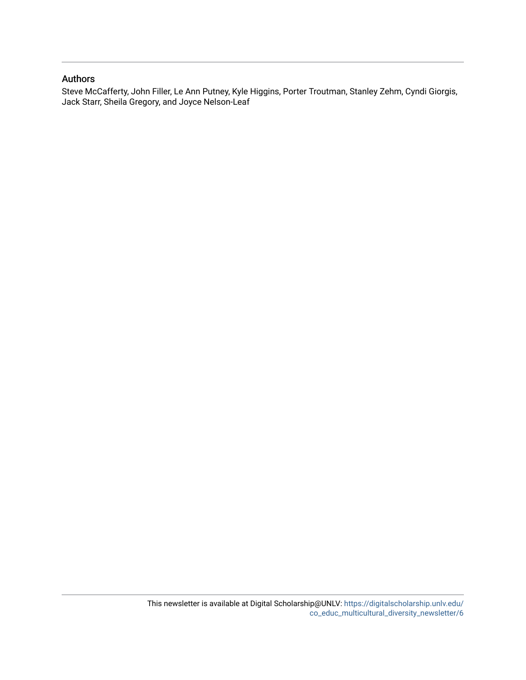## Authors

Steve McCafferty, John Filler, Le Ann Putney, Kyle Higgins, Porter Troutman, Stanley Zehm, Cyndi Giorgis, Jack Starr, Sheila Gregory, and Joyce Nelson-Leaf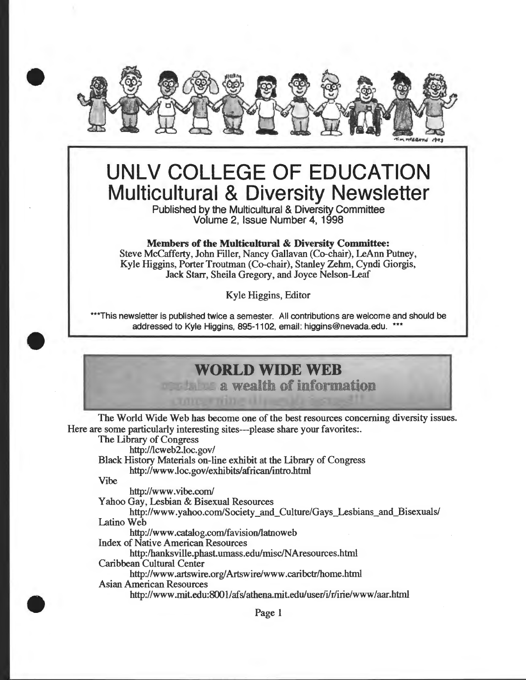

# **UNLV COLLEGE OF EDUCATION Multicultural & Diversity Newsletter**

Published by the Multicultural & Diversity Committee Volume 2, Issue Number 4, 1998

Members of the Multicultural & Diversity Committee:

Steve McCafferty, John Filler, Nancy Gallavan (Co-chair), LeAnn Putney, Kyle Higgins, Porter Troutman (Co-chair), Stanley Zehm, Cyndi Giorgis, Jack Starr, Sheila Gregory, and Joyce Nelson-Leaf

Kyle Higgins, Editor

\*\*\*This newsletter is published twice a semester. All contributions are welcome and should be addressed to Kyle Higgins, 895-1102, email: higgins@nevada.edu. \*\*\*

# **WORLD WIDE WEB**

a wealth of information

The World Wide Web has become one of the best resources concerning diversity issues. Here are some particularly interesting sites---please share your favorites:.

The Library of Congress

http://lcweb2.loc.gov/

Black History Materials on-line exhibit at the Library of Congress http://www.loc.gov/exhibits/african/intro.html

Vibe

•

•

http://www.vibe.com/

Yahoo Gay, Lesbian & Bisexual Resources

http://www.yahoo.com/Society and Culture/Gays Lesbians and Bisexuals/ Latino Web

http://www.catalog.com/favision/latnoweb

Index of Native American Resources

http:/hanksville.phast.umass.edu/misc/NAresources.html

Caribbean Cultural Center

http://www.artswire.org/Artswire/www.caribctr/home.html

Asian American Resources

http://www.mit.edu:8001/afs/athena.mit.edu/user/ilr/irie/www/aar.html

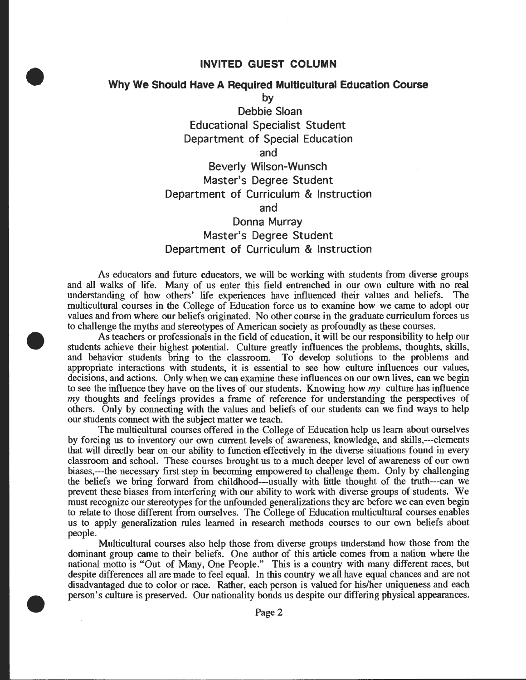## **INVITED GUEST COLUMN**

## **Why We Should Have A Required Multicultural Education Course**

•

•

•

**by** 

**Debbie Sloan Educational Specialist Student Department of Special Education and Beverly Wilson-Wunsch Master's Degree Student Department of Curriculum & Instruction and Donna Murray Master's Degree Student** 

# **Department of Curriculum & Instruction**

As educators and future educators, we will be working with students from diverse groups and all walks of life. Many of us enter this field entrenched in our own culture with no real understanding of how others' life experiences have influenced their values and beliefs. The multicultural courses in the College of Education force us to examine how we came to adopt our values and from where our beliefs originated. No other course in the graduate curriculum forces us to challenge the myths and stereotypes of American society as profoundly as these courses .

As teachers or professionals in the field of education, it will be our responsibility to help our students achieve their highest potential. Culture greatly influences the problems, thoughts, skills, and behavior students bring to the classroom. To develop solutions to the problems and appropriate interactions with students, it is essential to see how culture influences our values, decisions, and actions. Only when we can examine these influences on our own lives, can we begin to see the influence they have on the lives of our students. Knowing how my culture has influence my thoughts and feelings provides a frame of reference for understanding the perspectives of others. Only by connecting with the values and beliefs of our students can we find ways to help our students connect with the subject matter we teach.

The multicultural courses offered in the College of Education help us learn about ourselves by forcing us to inventory our own current levels of awareness, knowledge, and skills,---elements that will directly bear on our ability to function effectively in the diverse situations found in every classroom and school. These courses brought us to a much deeper level of awareness of our own biases,---the necessary first step in becoming empowered to challenge them. Only by challenging the beliefs we bring forward from childhood---usually with little thought of the truth---can we prevent these biases from interfering with our ability to work with diverse groups of students. We must recognize our stereotypes for the unfounded generalizations they are before we can even begin to relate to those different from ourselves. The College of Education multicultural courses enables us to apply generalization rules learned in research methods courses to our own beliefs about people.

Multicultural courses also help those from diverse groups understand how those from the dominant group came to their beliefs. One author of this article comes from a nation where the national motto is "Out of Many, One People." This is a country with many different races, but despite differences all are made to feel equal. In this country we all have equal chances and are not disadvantaged due to color or race. Rather, each person is valued for his/her uniqueness and each person's culture is preserved. Our nationality bonds us despite our differing physical appearances .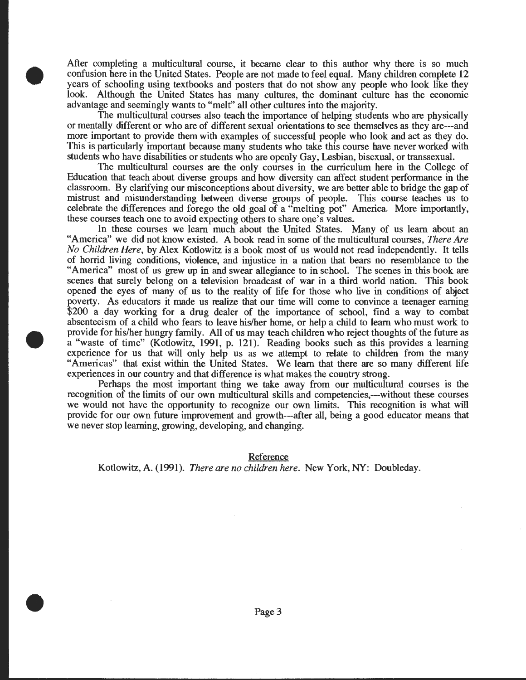Mter completing a multicultural course, it became clear to this author why there is so much confusion here in the United States. People are not made to feel equal. Many children complete 12 years of schooling using textbooks and posters that do not show any people who look like they look. Although the United States has many cultures, the dominant culture has the economic advantage and seemingly wants to "melt" all other cultures into the majority.

•

•

•

The multicultural courses also teach the importance of helping students who are physically or mentally different or who are of different sexual orientations to see themselves as they are---and more important to provide them with examples of successful people who look and act as they do. This is particularly important because many students who take this course have never worked with students who have disabilities or students who are openly Gay, Lesbian, bisexual, or transsexual.

The multicultural courses are the only courses in the curriculum here in the College of Education that teach about diverse groups and how diversity can affect student performance in the classroom. By clarifying our misconceptions about diversity, we are better able to bridge the gap of mistrust and misunderstanding between diverse groups of people. This course teaches us to celebrate the differences and forego the old goal of a "melting pot" America. More importantly, these courses teach one to avoid expecting others to share one's values.

In these courses we learn much about the United States. Many of us learn about an "America" we did not know existed. A book read in some of the multicultural courses, *There Are No Children Here,* by Alex Kotlowitz is a book most of us would not read independently. It tells of horrid living conditions, violence, and injustice in a nation that bears no resemblance to the "America" most of us grew up in and swear allegiance to in school. The scenes in this book are scenes that surely belong on a television broadcast of war in a third world nation. This book opened the eyes of many of us to the reality of life for those who live in conditions of abject poverty. As educators it made us realize that our time will come to convince a teenager earning \$200 a day working for a drug dealer of the importance of school, find a way to combat absenteeism of a child who fears to leave his/her home, or help a child to learn who must work to provide for his/her hungry family. All of us may teach children who reject thoughts of the future as a "waste of time" (Kotlowitz, 1991, p. 121). Reading books such as this provides a learning experience for us that will only help us as we attempt to relate to children from the many "Americas" that exist within the United States. We learn that there are so many different life experiences in our country and that difference is what makes the country strong.

Perhaps the most important thing we take away from our multicultural courses is the recognition of the limits of our own multicultural skills and competencies,---without these courses we would not have the opportunity to recognize our own limits. This recognition is what will provide for our own future improvement and growth---after all, being a good educator means that we never stop learning, growing, developing, and changing.

Reference

Kotlowitz, A. (1991). *There are no children here*. New York, NY: Doubleday.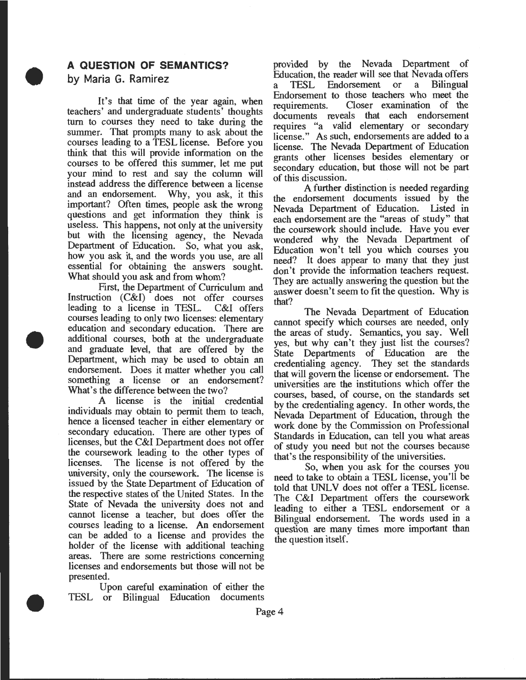## **A QUESTION OF SEMANTICS?**

#### **by Maria G. Ramirez**

•

•

•

It's that time of the year again, when teachers' and undergraduate students' thoughts turn to courses they need to take during the summer. That prompts many to ask about the courses leading to a TESL license. Before you think that this will provide information on the courses to be offered this summer, let me put your mind to rest and say the column will instead address the difference between a license and an endorsement. Why, you ask, it this important? Often times, people ask the wrong questions and get information they think is useless. This happens, not only at the university but with the licensing agency, the Nevada Department of Education. So, what you ask, how you ask it, and the words you use, are all essential for obtaining the answers sought. What should you ask and from whom?

First, the Department of Curriculum and Instruction (C&I) does not offer courses leading to a license in TESL. C&I offers courses leading to only two licenses: elementary education and secondary education. There are additional courses, both at the undergraduate and graduate level, that are offered by the Department, which may be used to obtain an endorsement. Does it matter whether you call something a license or an endorsement? What's the difference between the two?

A license is the initial credential individuals may obtain to permit them to teach, hence a licensed teacher in either elementary or secondary education. There are other types of licenses, but the C&I Department does not offer the coursework leading to the other types of licenses. The license is not offered by the university, only the coursework. The license is issued by the State Department of Education of the respective states of the United States. In the State of Nevada the university does not and cannot license a teacher, but does offer the courses leading to a license. An endorsement can be added to a license and provides the holder of the license with additional teaching areas. There are some restrictions concerning licenses and endorsements but those will not be presented.

Upon careful examination of either the TESL or Bilingual Education documents

provided by the Nevada Department of Education, the reader will see that Nevada offers<br>a TESL Endorsement or a Bilingual a TESL Endorsement or Endorsement to those teachers who meet the requirements. Closer examination of the documents reveals that each endorsement requires "a valid elementary or secondary license." As such, endorsements are added to a license. The Nevada Department of Education grants other licenses besides elementary or secondary education, but those will not be part of this discussion.

A further distinction is needed regarding the endorsement documents issued by the Nevada Department of Education. Listed in each endorsement are the "areas of study" that the coursework should include. Have you ever wondered why the Nevada Department of Education won't tell you which courses you need? It does appear to many that they just don't provide the information teachers request They are actually answering the question but the answer doesn't seem to fit the question. Why is

that? . The Nevada Department of Education cannot specify which courses are needed, only the areas of study. Semantics, you say. Well yes, but why can't they just list the courses? State Departments of Education are the credentialing agency. They set the standards that will govern the license or endorsement. The universities are the institutions which offer the courses, based, of course, on the standards set by the credentialing agency. In other words, the Nevada Department of Education, through the work done by the Commission on Professional Standards in Education, can tell you what areas of study you need but not the courses because that's the responsibility of the umversities.

So, when you ask for the courses you need to take to obtain a TESL license, you'll be told that UNLV does not offer a TESL license. The C&I Department offers the coursework leading to either a TESL endorsement or a Bilingual endorsement. The words used in a question are many times more Important than the question itself.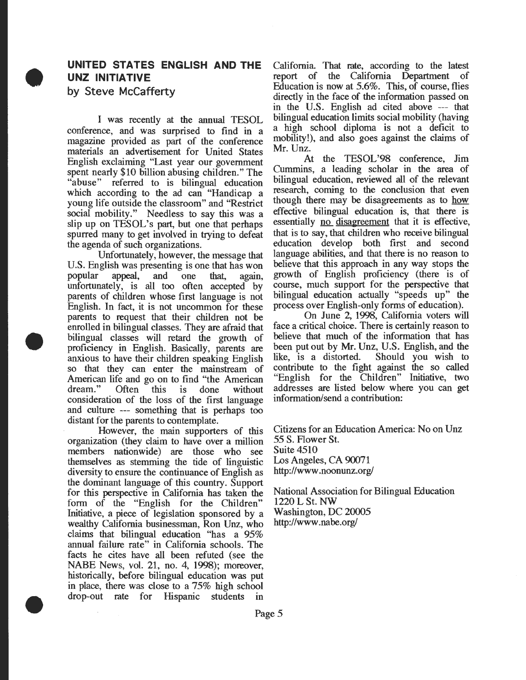# **UNITED STATES ENGLISH AND THE UNZ INITIATIVE by Steve McCafferty**

•

•

•

I was recently at the annual TESOL conference, and was surprised to find in a magazine provided as part of the conference materials an advertisement for United States English exclaiming "Last year our government spent nearly \$10 billion abusing children." The "abuse" referred to is bilingual education which according to the ad can "Handicap a young life outside the classroom" and "Restrict social mobility." Needless to say this was a slip up on TESOL's part, but one that perhaps spurred many to get involved in trying to defeat the agenda of such organizations.

Unfortunately, however, the message that U.S. English was presenting is one that has won popular appeal, and one that, again, unfortunately, is all too often accepted by parents of children whose first language is not English. In fact, it is not uncommon for these parents to request that their children not be enrolled in bilingual classes. They are afraid that bilingual classes will retard the growth of proficiency in English. Basically, parents are anxious to have their children speaking English so that they can enter the mainstream of American life and go on to find "the American<br>dream." Often this is done without Often this is done without consideration of the loss of the first language and culture --- something that is perhaps too distant for the parents to contemplate.

However, the main supporters of this organization (they claim to have over a million members nationwide) are those who see themselves as stemming the tide of linguistic diversity to ensure the continuance of English as the dominant language of this country. Support for this perspective in California has taken the form of the "English for the Children" Initiative, a piece of legislation sponsored by a wealthy California businessman, Ron Unz, who claims that bilingual education "has a 95% annual failure rate" in California schools. The facts he cites have all been refuted (see the NABE News, vol. 21, no. 4, 1998); moreover, historically, before bilingual education was put m place, there was close to a 75% high school drop-out rate for Hispanic students in

California. That rate, according to the latest report of the California Department of Education is now at 5.6%. This, of course, flies directly in the face of the information passed on in the U.S. English ad cited above --- that bilingual education limits social mobility (having a high school diploma is not a deficit to mobility!), and also goes against the claims of Mr. Unz.

At the TESOL'98 conference, Jim Cummins, a leading scholar in the area of bilingual education, reviewed all of the relevant research, coming to the conclusion that even though there may be disagreements as to how effective bilingual education is, that there is essentially no disagreement that it is effective, that is to say, that children who receive bilingual education develop both first and second language abilities, and that there is no reason to believe that this approach in any way stops the growth of English proficiency (there is of course, much support for the perspective that bilingual education actually "speeds up" the process over English-only forms of education).

On June 2, 1998, California voters will face a critical choice. There is certainly reason to believe that much of the information that has been putout by Mr. Unz, U.S. English, and the like, is a distorted. Should you wish to contribute to the fight against the so called "English for the Children" Initiative, two addresses are listed below where you can get information/send a contribution:

Citizens for an Education America: No on Unz 55 S. Flower St. **Suite 4510** Los Angeles, CA 90071 http://www .noonunz.org/

National Association for Bilingual Education 1220LSt. NW Washington, DC 20005 http://www .nabe.org/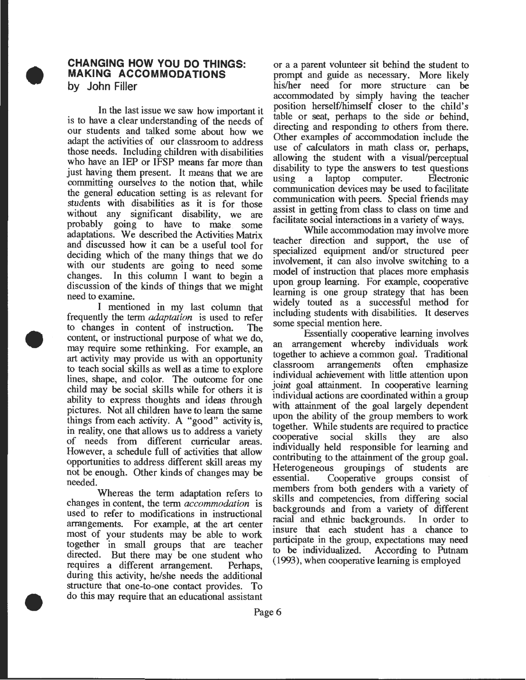### **CHANGING HOW YOU DO THINGS· MAKING ACCOMMODATIONS** . **by John Filler**

•

•

•

. In the last issue we saw how important it is to have a clear understanding of the needs of our students and talked some about how we adapt the activities of our classroom to address those needs. Including children with disabilities who have an IEP or IFSP means far more than just having them present. It means that we are committing ourselves to the notion that, while the general education setting is as relevant for students with disabilities as it is for those without any significant disability, we are probably going to have to make some adaptations. We described the Activities Matrix and discussed how it can be a useful tool for deciding which of the many things that we do with our students are going to need some changes. In this column I want to begin a discussion of the kinds of things that we might need to examine.

I mentioned in my last column that frequently the term *adaptation* is used to refer to changes in content of instruction. The content, or instructional purpose of what we do may require some rethinking. For example, an art activity may provide us with an opportunity to teach social skills as well as a time to explore lines, shape, and color. The outcome for one child may be social skills while for others it is ability to express thoughts and ideas through pictures. Not all children have to learn the same things from each activity. A "good" activity is, m reality, one that allows us to address a variety of needs from different curricular areas. However, a schedule full of activities that allow opportunities to address different skill areas my not be enough. Other kinds of changes may be needed.

Whereas the term adaptation refers to changes in content, the term *accommodation* is used to refer to modifications in instructional arrangements. For example, at the art center most of your students may be able to work together in small groups that are teacher directed. But there may be one student who requires a different arrangement. Perhaps, during this activity, he/she needs the additional structure that one-to-one contact provides. To do this may require that an educational assistant

or a a parent volunteer sit behind the student to prompt and guide as necessary. More likely his/her need for more structure can be accommodated by simply having the teacher position herself/himself closer to the child's table or seat, perhaps to the side or behind directing and responding to others from there. Other examples of accommodation include the use of calculators in math class or, perhaps, allowing the student with a visual/perceptual disability to type the answers to test questions<br>using a laptop computer. Electronic using a laptop computer. communication devices may be used to facilitate communication with peers. Special friends may assist in getting from class to class on time and facilitate social interactions in a variety of ways.

While accommodation may involve more teacher direction and support, the use of specialized equipment and/or structured peer involvement, it can also involve switching to a model of instruction that places more emphasis upon group learning. For example, cooperative learning is one group strategy that has been widely touted as a successful method for including students with disabilities. It deserves some special mention here.

Essentially cooperative learning involves an arrangement whereby individuals work together to achieve a common goal. Traditional<br>classroom arrangements often emphasize arrangements often individual achievement with little attention upon joint goal attainment. In cooperative learning individual actions are coordinated within a group with attainment of the goal largely dependent upon the ability of the group members to work together. While students are required to practice cooperative social skills they are also mdividually held responsible for learning and contributing to the attainment of the group goal. Heterogeneous groupings of students are essential. Cooperative groups consist of members from both genders with a variety of skills and competencies, from differing social backgrounds and from a variety of different racial and ethnic backgrounds. In order to insure that each student has a chance to participate in the group, expectations may need to be mdividualized. According to Putnam (1993), when cooperative learning is employed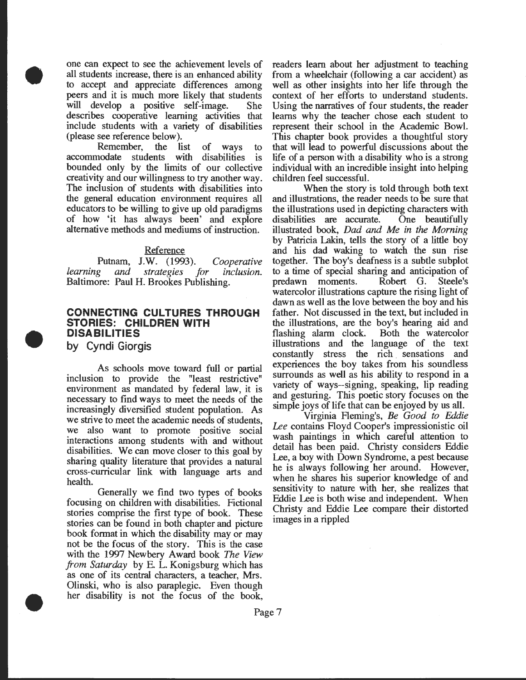one can expect to see the achievement levels of all students increase, there is an enhanced ability to accept and appreciate differences among peers and it is much more likely that students will develop a positive self-image. She describes cooperative learning activities that include students with a variety of disabilities (please see reference below).

Remember, the list of ways to accommodate students with disabilities is bounded only by the limits of our collective creativity and our willingness to try another way. The inclusion of students with disabilities into the general education environment requires all educators to be willing to give up old paradigms of how 'it has always been' and explore alternative methods and mediums of instruction.

#### **Reference**

Putnam, J.W. (1993). *Cooperative learning* and *strategies for inclusion.*  Baltimore: Paul H. Brookes Publishing.

## **CONNECTING CULTURES THROUGH STORIES: CHILDREN WITH DISABILITIES**

**by Cyndi Giorgis** 

•

•

•

As schools move toward full or partial inclusion to provide the "least restrictive" environment as mandated by federal law, it is necessary to find ways to meet the needs of the increasingly diversified student population. As we strive to meet the academic needs of students, we also want to promote positive social interactions among students with and without disabilities. We can move closer to this goal by sharing quality literature that provides a natural cross-curricular link with language arts and health.

Generally we find two types of books focusing on children with disabilities. Fictional stories comprise the first type of book. These stories can be found in both chapter and picture book format in which the disability may or may not be the focus of the story. This is the case with the 1997 Newbery Award book *The View from Saturday* by E. L. Konigsburg which has as one of its central characters, a teacher, Mrs. Olinski, who is also paraplegic. Even though her disability is not the focus of the book, readers learn about her adjustment to teaching from a wheelchair (following a car accident) as well as other insights into her life through the context of her efforts to understand students. Using the narratives of four students, the reader learns why the teacher chose each student to represent their school in the Academic Bowl. This chapter book provides a thoughtful story that will lead to powerful discussions about the life of a person with a disability who is a strong individual with an incredible insight into helping children feel successful.

When the story is told through both text and illustrations, the reader needs to be sure that the illustrations used in depicting characters with disabilities are accurate. One beautifully illustrated book, *Dad and Me in the Morning*  by Patricia Lakin, tells the story of a little boy and his dad waking to watch the sun rise together. The boy's deafness is a subtle subplot to a time of special sharing and anticipation of predawn moments. Robert G. Steele's watercolor illustrations capture the rising light of dawn as well as the love between the boy and his father. Not discussed in the text, but included in the illustrations, are the boy's hearing aid and flashing alarm clock. Both the watercolor illustrations and the language of the text constantly stress the rich. sensations and experiences the boy takes from his soundless surrounds as well as his ability to respond in a variety of ways--signing, speaking, lip reading and gesturing. This poetic story focuses on the simple joys of life that can be enjoyed by us all.

Virginia Fleming's, *Be Good to Eddie Lee* contains Floyd Cooper's impressionistic oil wash paintings in which careful attention to detail has been paid. Christy considers Eddie Lee, a boy with Down Syndrome, a pest because he is always following her around. However, when he shares his superior knowledge of and sensitivity to nature with her, she realizes that Eddie Lee is both wise and independent. When Christy and Eddie Lee compare their distorted images in a rippled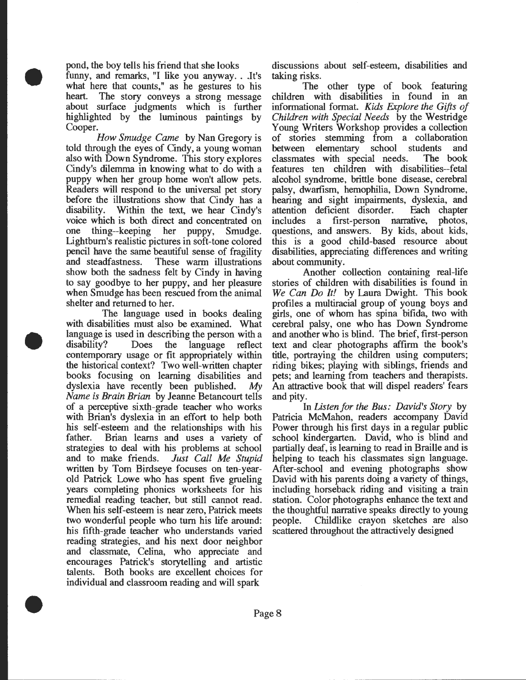pond, the boy tells his friend that she looks

•

•

•

funny, and remarks, "I like you anyway. . .It's what here that counts," as he gestures to his heart. The story conveys a strong message about surface judgments which is further highlighted by the luminous paintings by Cooper.

*How Smudge Came* by Nan Gregory is told through the eyes of Cindy, a young woman also with Down Syndrome. This story explores Cindy's dilemma in knowing what to do with a puppy when her group home won't allow pets. Readers will respond to the universal pet story before the illustrations show that Cindy has a disability. Within the text, we hear Cindy's voice which is both direct and concentrated on one thing--keeping her puppy, Smudge. Lightbum's realistic pictures in soft-tone colored pencil have the same beautiful sense of fragility and steadfastness. These warm illustrations show both the sadness felt by Cindy in having to say goodbye to her puppy, and her pleasure when Smudge has been rescued from the animal shelter and returned to her.

The language used in books dealing with disabilities must also be examined. What language is used in describing the person with a disability? Does the language reflect contemporary usage or fit appropriately within the historical context? Two well-written chapter books focusing on learning disabilities and dyslexia have recently been published. *My Name is Brain Brian* by Jeanne Betancourt tells of a perceptive sixth-grade teacher who works with Brian's dyslexia in an effort to help both his self-esteem and the relationships with his father. Brian learns and uses a variety of strategies to deal with his problems at school and to make friends. *Just Call Me Stupid*  written by Tom Birdseye focuses on ten-yearold Patrick Lowe who has spent five grueling years completing phonics worksheets for his remedial reading teacher, but still cannot read. When his self-esteem is near zero, Patrick meets two wonderful people who tum his life around: his fifth-grade teacher who understands varied reading strategies, and his next door neighbor and classmate, Celina, who appreciate and encourages Patrick's storytelling and artistic talents. Both books are excellent choices for individual and classroom reading and will spark

discussions about self-esteem, disabilities and taking risks.

The other type of book featuring children with disabilities in found in an informational format. *Kids Explore the Gifts of Children with Special Needs* by the Westridge Young Writers Workshop provides a collection of stories stemming from a collaboration between elementary school students and classmates with special needs. The book features ten children with disabilities--fetal alcohol syndrome, brittle bone disease, cerebral palsy, dwarlism, hemophilia, Down Syndrome, hearing and sight impairments, dyslexia, and attention deficient disorder. Each chapter includes a first-person narrative, photos, questions, and answers. By kids, about kids, this is a good child-based resource about disabilities, appreciating differences and writing about community.

Another collection containing real-life stories of children with disabilities is found in *We Can Do It!* by Laura Dwight. This book profiles a multiracial group of young boys and girls, one of whom has spina bifida, two with cerebral palsy, one who has Down Syndrome and another who is blind. The brief, first-person text and clear photographs affirm the book's title, portraying the children using computers; riding bikes; playing with siblings, friends and pets; and learning from teachers and therapists. An attractive book that will dispel readers' fears and pity.

In *Listen for the Bus: David's Story* by Patricia McMahon, readers accompany David Power through his first days in a regular public school kindergarten. David, who is blind and partially deaf, is learning to read in Braille and is helping to teach his classmates sign language. After-school and evening photographs show David with his parents doing a variety of things, including horseback riding and visiting a train station. Color photographs enhance the text and the thoughtful narrative speaks directly to young people. Childlike crayon sketches are also scattered throughout the attractively designed

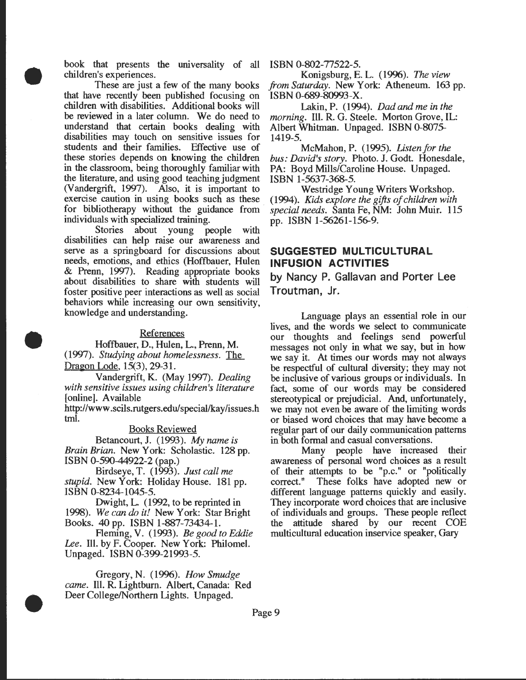book that presents the universality of all children's experiences.

•

•

•

These are just a few of the many books that have recently been published focusing on children with disabilities. Additional books will be reviewed in a later column. We do need to understand that certain books dealing with disabilities may touch on sensitive issues for students and their families. Effective use of these stories depends on knowing the children in the classroom, being thoroughly familiar with the literature, and using good teaching judgment (Vandergrift, 1997). Also, it is important to exercise caution in using books such as these for bibliotherapy without the guidance from individuals with specialized training.

Stories about young people with disabilities can help raise our awareness and serve as a springboard for discussions about needs, emotions, and ethics (Hoffbauer, Hulen & Prenn, 1997). Reading appropriate books about disabilities to share with students will foster positive peer interactions as well as social behaviors while increasing our own sensitivity, knowledge and understanding.

#### References

Hoffbauer, D., Hulen, L., Prenn, M. (1997). *Studying about homelessness.* The Dragon Lode, 15(3), 29-31.

Vandergrift, K. (May 1997). *Dealing with sensitive issues using children's literature*  [online]. Available

http://www .scils.rutgers.edu/special/kay/issues.h tml.

Books Reviewed

Betancourt, J. (1993). *My name is Brain Brian.* New York: Scholastic. 128 pp. ISBN 0-590-44922-2 (pap.)

Birdseye, T. (1993). *Just call me stupid.* New York: Holiday House. 181 pp. ISBN 0-8234-1045-5.

Dwight, L. ( 1992, to be reprinted in 1998). *We can do it!* New York: Star Bright Books. 40 pp. ISBN 1-887-73434-1.

Fleming, V. (1993). *Be good to Eddie Lee.* Ill. by F. Cooper. New York: Philomel. Unpaged. ISBN 0-399-21993-5.

Gregory, N. (1996). *How Smudge came.* Ill. R. Lightburn. Albert, Canada: Red Deer College/Northern Lights. Unpaged.

ISBN 0-802-77522-5.

Konigsburg, E. L. (1996). The *view from Saturday.* New York: Atheneum. 163 pp. ISBN 0-689-80993-X.

Lakin, P. (1994). *Dad and me in the morning.* Ill. R. G. Steele. Morton Grove, IL: Albert Whitman. Unpaged. ISBN 0-8075- 1419-5.

McMahon, P. (1995). *Listen for the bus: David's story.* Photo. J. Godt. Honesdale, PA: Boyd Mills/Caroline House. Unpaged. ISBN 1-5637-368-5.

Westridge Young Writers Workshop. (1994). *Kids explore the gifts of children with* ~pecial *needs.* Santa Fe, NM: John Muir. 115 pp. ISBN 1-56261-156-9.

## **SUGGESTED MULTICULTURAL INFUSION ACTIVITIES**

**by Nancy P. Gallavan and Porter Lee Troutman, Jr.** 

Language plays an essential role in our lives, and the words we select to communicate our thoughts and feelings send powerful messages not only in what we say, but in how we say it. At times our words may not always be respectful of cultural diversity; they may not be inclusive of various groups or individuals. In fact, some of our words may be considered stereotypical or prejudicial. And, unfortunately, we may not even be aware of the limiting words or biased word choices that may have become a regular part of our daily communication patterns in both formal and casual conversations.

Many people have increased their awareness of personal word choices as a result of their attempts to be "p.c." or "politically correct." These folks have adopted new or different language patterns quickly and easily. They incorporate word choices that are inclusive of individuals and groups. These people reflect the attitude shared by our recent COE multicultural education inservice speaker, Gary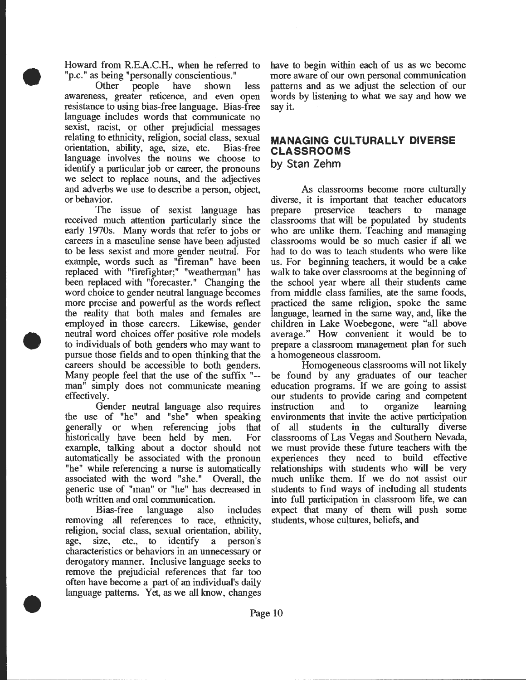Howard from R.E.A.C.H., when he referred to "p.c." as being "personally conscientious."

•

•

•

Other people have shown less awareness, greater reticence, and even open resistance to using bias-free language. Bias-free language includes words that communicate no sexist, racist, or other prejudicial messages relating to ethnicity, religion, social class, sexual orientation, ability, age, size, etc. Bias-free language involves the nouns we choose to identify a particular job or career, the pronouns we select to replace nouns, and the adjectives and adverbs we use to describe a person, object, or behavior.

The issue of sexist language has received much attention particularly since the early 1970s. Many words that refer to jobs or careers in a masculine sense have been adjusted to be less sexist and more gender neutral. For example, words such as "fireman" have been replaced with "firefighter;" "weatherman" has been replaced with "forecaster." Changing the word choice to gender neutral language becomes more precise and powerful as the words reflect the reality that both males and females are employed in those careers. Likewise, gender neutral word choices offer positive role models to individuals of both genders who may want to pursue those fields and to open thinking that the careers should be accessible to both genders. Many people feel that the use of the suffix "- man" simply does not communicate meaning effectively.

Gender neutral language also requires the use of "he" and "she" when speaking generally or when referencing jobs that historically have been held by men. For example, talking about a doctor should not automatically be associated with the pronoun "he" while referencing a nurse is automatically associated with the word "she." Overall, the generic use of "man" or "he" has decreased in both written and oral communication.

Bias-free language also includes removing all references to race, ethnicity, religion, social class, sexual orientation, ability, age, size, etc., to identify a person's characteristics or behaviors in an unnecessary or derogatory manner. Inclusive language seeks to remove the prejudicial references that far too often have become a part of an individual's daily language patterns. Yet, as we all know, changes

have to begin within each of us as we become more aware of our own personal communication patterns and as we adjust the selection of our words by listening to what we say and how we say it.

# **MANAGING CULTURALLY DIVERSE CLASSROOMS**

**by Stan Zehm** 

As classrooms become more culturally diverse, it is important that teacher educators prepare preservice teachers to manage classrooms that will be populated by students who are unlike them. Teaching and managing classrooms would be so much easier if all we had to do was to teach students who were like us. For beginning teachers, it would be a cake walk to take over classrooms at the beginning of the school year where all their students came from middle class families, ate the same foods, practiced the same religion, spoke the same language, learned in the same way, and, like the children in Lake Woebegone, were "all above average." How convenient it would be to prepare a classroom management plan for such a homogeneous classroom.

Homogeneous classrooms will not likely be found by any graduates of our teacher education programs. If we are going to assist our students to provide caring and competent instruction and to organize learning environments that invite the active participation of all students in the culturally diverse classrooms of Las Vegas and Southern Nevada, we must provide these future teachers with the experiences they need to build effective relationships with students who will be very much unlike them. If we do not assist our students to find ways of including all students into full participation in classroom life, we can expect that many of them will push some students, whose cultures, beliefs, and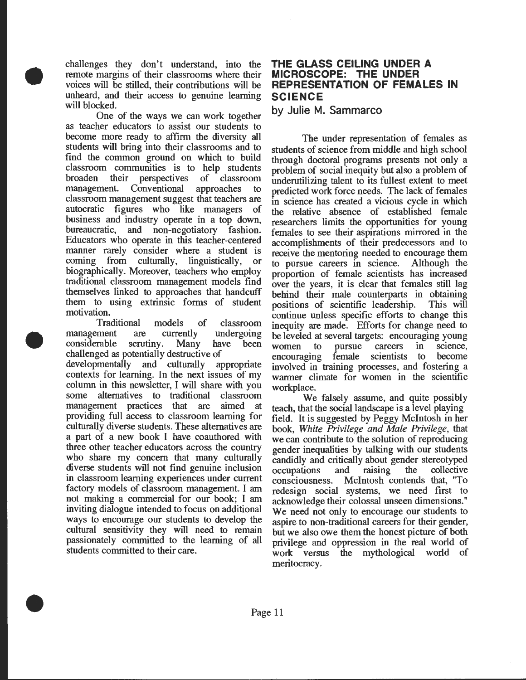challenges they don't understand, into the remote margins of their classrooms where their voices will be stilled, their contributions will be unheard, and their access to genuine learning will blocked.

•

•

•

One of the ways we can work together as teacher educators to assist our students to become more ready to affirm the diversity all students will bring into their classrooms and to find the common ground on which to build classroom communities is to help students broaden their perspectives of classroom management. Conventional approaches to classroom management suggest that teachers are autocratic figures who like managers of business and industry operate in a top down, bureaucratic, and non-negotiatory fashion. Educators who operate in this teacher-centered manner rarely consider where a student is coming from culturally, linguistically, or biographically. Moreover, teachers who employ traditional classroom management models find themselves linked to approaches that handcuff them to using extrinsic forms of student motivation.

Traditional models of classroom management are currently undergoing considerable scrutiny. Many have been challenged as potentially destructive of developmentally and culturally appropriate contexts for learning. In the next issues of my column in this newsletter, I will share with you some alternatives to traditional classroom management practices that are aimed at providing full access to classroom learning for culturally diverse students. These alternatives are a part of a new book I have coauthored with three other teacher educators across the country who share my concern that many culturally diverse students will not find genuine inclusion in classroom learning experiences under current factory models of classroom management I am not making a commercial for our book; I am inviting dialogue intended to focus on additional ways to encourage our students to develop the cultural sensitivity they will need to remain passionately committed to the learning of all students committed to their care.

## **THE GLASS CEILING UNDER A MICROSCOPE: THE UNDER REPRESENTATION OF FEMALES IN SCIENCE**

### **by Julie M. Sammarco**

The under representation of females as students of science from middle and high school through doctoral programs presents not only a problem of social inequity but also a problem of underutilizing talent to its fullest extent to meet predicted work force needs. The lack of females in science has created a vicious cycle in which the relative absence of established female researchers limits the opportunities for young females to see their aspirations mirrored in the accomplishments of their predecessors and to receive the mentoring needed to encourage them to pursue careers in science. Although the proportion of female scientists has increased over the years, it is clear that females still lag behind their male counterparts in obtaining positions of scientific leadership. This will continue unless specific efforts to change this inequity are made. Efforts for change need to be leveled at several targets: encouraging young women to pursue careers in science, encouraging female scientists to become involved in training processes, and fostenng a warmer climate for women in the scientific workplace.

We falsely assume, and quite possibly teach, that the social landscape is a level playing field. It is suggested by Peggy Mcintosh in her book, *White Privilege and Male Privilege*, that we can contribute to the solution of reproducing gender inequalities by talking with our students candidly and critically about gender stereotyped occupations and raising the collective consciousness. Mcintosh contends that, "To redesign social systems, we need first to acknowledge their colossal unseen dimensions." We need not only to encourage our students to aspire to non-traditional careers for their gender, but we also owe them the honest picture of both privilege and oppression in the real world of work versus the mythological world of meritocracy.

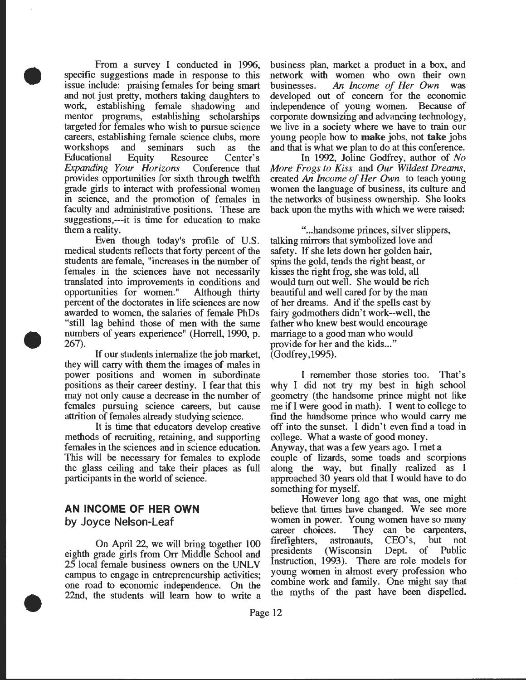From a survey I conducted in 1996, specific suggestions made in response to this issue include: praising females for being smart and not just pretty, mothers taking daughters to work, establishing female shadowing and mentor programs, establishing scholarships targeted for females who wish to pursue science careers, establishing female science clubs, more workshops and seminars such as the Educational Equity Resource Center's *Expanding Your Horizons* Conference that provides opportunities for sixth through twelfth grade girls to interact with professional women in science, and the promotion of females in faculty and administrative positions. These are suggestions,---it is time for education to make them a reality.

•

•

•

Even though today's profile of U.S. medical students reflects that forty percent of the students are female, "increases in the number of females in the sciences have not necessarily translated into improvements in conditions and opportunities for women." Although thirty percent of the doctorates in life sciences are now awarded to women, the salaries of female PhDs "still lag behind those of men with the same numbers of years experience" (Horrell, 1990, p. 267).

If our students internalize the job market, they will carry with them the images of males in power positions and women in subordinate positions as their career destiny. I fear that this may not only cause a decrease in the number of females pursuing science careers, but cause attrition of females already studying science.

It is time that educators develop creative methods of recruiting, retaining, and supporting females in the sciences and in science education. This will be necessary for females to explode the glass ceiling and take their places as full participants in the world of science.

## **AN INCOME OF HER OWN by Joyce Nelson-Leaf**

On April 22, we will bring together 100 eighth grade girls from Orr Middle School and 25 local female business owners on the UNLV campus to engage in entrepreneurship activities; one road to economic independence. On the 22nd, the students will learn how to write a

business plan, market a product in a box, and network with women who own their own businesses. *An Income of Her Own* was developed out of concern for the economic independence of young women. Because of corporate downsizing and advancing technology, we live in a society where we have to train our young people how to **make** jobs, not **take** jobs and that is what we plan to do at this conference.

In 1992, Joline Godfrey, author of No *More Frogs to Kiss* and *Our Wildest Dreams,*  created *An Income of Her Own* to teach young women the language of business, its culture and the networks of business ownership. She looks back upon the myths with which we were raised:

" ... handsome princes, silver slippers, talking mirrors that symbolized love and safety. If she lets down her golden hair, spins the gold, tends the right beast, or kisses the right frog, she was told, all would turn out well. She would be rich beautiful and well cared for by the man of her dreams. And if the spells cast by fairy godmothers didn't work--well, the father who knew best would encourage marriage to a good man who would provide for her and the kids..." (Godfrey,1995).

I remember those stories too. That's why I did not try my best in high school geometry (the handsome prince might not like me if I were good in math). I went to college to find the handsome prince who would carry me off into the sunset. I didn't even find a toad in college. What a waste of good money.

Anyway, that was a few years ago. I met a couple of lizards, some toads and scorpions along the way, but finally realized as I approached 30 years old that I would have to do something for myself.

However long ago that was, one might believe that times have changed. We see more women in power. Young women have so many career choices. They can be carpenters, firefighters, astronauts, CEO's, but not presidents (Wisconsin Dept. of Public Instruction, 1993). There are role models for young women in almost every profession who combine work and family. One might say that the myths of the past have been dispelled.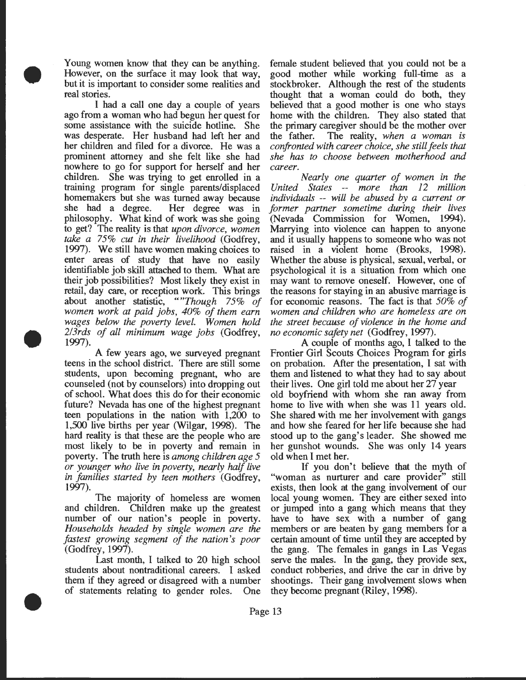Young women know that they can be anything. However, on the surface it may look that way, but it is important to consider some realities and real stories.

•

•

•

I had a call one day a couple of years ago from a woman who had begun her quest for some assistance with the suicide hotline. She was desperate. Her husband had left her and her children and filed for a divorce. He was a prominent attorney and she felt like she had nowhere to go for support for herself and her children. She was trying to get enrolled in a training program for single parents/displaced homemakers but she was turned away because<br>she had a degree. Her degree was in Her degree was in philosophy. What kind of work was she going to get? The reality is that *upon divorce, women take a* 75% *cut in their livelihood* (Godfrey, 1997). We still have women making choices to enter areas of study that have no easily identifiable job skill attached to them. What are their job possibilities? Most likely they exist in retail, day care, or reception work. This brings about another statistic, *""Though* 75% *of women work at paid jobs, 40% of them earn wages below the poverty level. Women hold 2/3rds of all minimum wage jobs* (Godfrey, 1997).

A few years ago, we surveyed pregnant teens in the school district. There are still some students, upon becoming pregnant, who are counseled (not by counselors) into dropping out of school. What does this do for their economic future? Nevada has one of the highest pregnant teen populations in the nation with 1,200 to 1,500 live births per year (Wilgar, 1998). The hard reality is that these are the people who are most likely to be in poverty and remain in poverty. The truth here is *among children age* 5 *or younger who live in poverty, nearly half live in families started by teen mothers* (Godfrey, 1997).

The majority of homeless are women and children. Children make up the greatest number of our nation's people in poverty. *Households headed by single women are the fastest growing segment of the nation's poor*  (Godfrey, 1997).

Last month, I talked to 20 high school students about nontraditional careers. I asked them if they agreed or disagreed with a number of statements relating to gender roles. One female student believed that you could not be a good mother while working full-time as a stockbroker. Although the rest of the students thought that a woman could do both, they believed that a good mother is one who stays home with the children. They also stated that the primary caregiver should be the mother over the father. The reality, *when a woman is confronted with career choice, she still feels that she has to choose between motherhood and career.* 

*Nearly one quarter of women in the United States* -- *more than 12 million individuals* -- *will be abused by a current or former partner sometime during their lives*  (Nevada Commission for Women, 1994). Marrying into violence can happen to anyone and it usually happens to someone who was not raised in a violent home (Brooks, 1998). Whether the abuse is physical, sexual, verbal, or psychological it is a situation from which one may want to remove oneself. However, one of the reasons for staying in an abusive marriage is for economic reasons. The fact is that *50% of women and children who are homeless are on the street because of violence in the home and no economic safety net* (Godfrey, 1997) .

A couple of months ago, I talked to the Frontier Girl Scouts Choices Program for girls on probation. Mter the presentation, I sat with them and listened to what they had to say about their lives. One girl told me about her 27 year old boyfriend with whom she ran away from home to live with when she was 11 years old. She shared with me her involvement with gangs and how she feared for her life because she had stood up to the gang's leader. She showed me her gunshot wounds. She was only 14 years old when I met her.

If you don't believe that the myth of "woman as nurturer and care provider" still exists, then look at the gang involvement of our local young women. They are either sexed into or jumped into a gang which means that they have to have sex with a number of gang members or are beaten by gang members for a certain amount of time until they are accepted by the gang. The females in gangs in Las Vegas serve the males. In the gang, they provide sex, conduct robberies, and drive the car in drive by shootings. Their gang involvement slows when they become pregnant (Riley, 1998).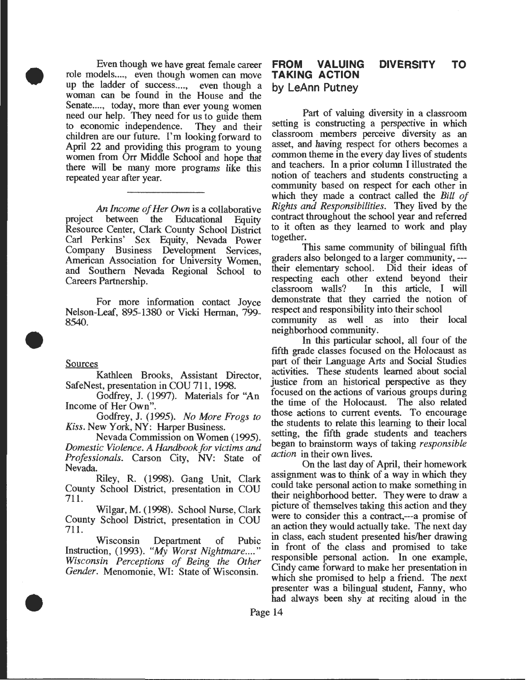Even though we have great female career role models...., even though women can move up the ladder of success...., even though a woman can be found in the House and the Senate...., today, more than ever young women need our help. They need for us to guide them<br>to economic independence. They and their to economic independence. children are our future. I'm looking forward to April 22 and providing this program to young women from Orr Middle School and hope that there will be many more programs like this repeated year after year.

An *Income of Her Own* is a collaborative<br>between the Educational Equity project between the Educational Equity Resource Center, Oark County School District Carl Perkins' Sex Equity, Nevada Power Company Business Development Services American Association for University Women: and Southern Nevada Regional School to Careers Partnership.

For more information contact Joyce Nelson-Leaf, 895-1380 or Vicki Herman, 799-8540.

#### **Sources**

•

•

•

Kathleen Brooks, Assistant Director SafeNest, presentation in COU 711, 1998.

Godfrey, J. (1997). Materials for "An Income of Her Own".

. Godfrey, J. (1995). *No More Frogs to Kiss.* New York, NY: Harper Business.

Nevada Commission on Women (1995). *Domestic Violence. A Handbook for victims and Professionals.* Carson City, NV: State of Nevada.

Riley, R. (1998). Gang Unit, Clark County School District, presentation in COU 711.

Wilgar, M. (1998). School Nurse, Clark County School District, presentation in COU 711.

Wisconsin Department of Pubic Instruction, (1993). *"My Worst Nightmare .... " Wisconsin Perceptions of Being the Other Gender.* Menomonie, WI: State of Wisconsin.

#### **FROM VALUING TAKING ACTION by LeAnn Putney DIVERSITY TO**

Part of valuing diversity in a classroom setting is constructing a perspective in which classroom members perceive diversity as an asset, and having respect for others becomes a common theme in the every day lives of students and teachers. In a prior column I illustrated the notion of teachers and students constructing a commumty based on respect for each other in which they made a contract called the *Bill of Rights and Responsibilities.* They lived by the contract throughout the school year and referred to it often as they learned to work and play together.

This same community of bilingual fifth graders also belonged to a larger community, --their elementary school. Did their ideas of respecting each other extend beyond their<br>classroom walls? In this article, I will In this article, I will demonstrate that they carried the notion of respect and responsibility into their school community as well as into their local neighborhood community .

In this particular school, all four of the fifth grade classes focused on the Holocaust as part of their Language Arts and Social Studies activities. These students learned about social justice from an historical perspective as they focused on the actions of various groups during the time of the Holocaust. The also related those actions to current events. To encourage the students to relate this learning to their local setting, the fifth grade students and teachers began to brainstorm ways of taking *responsible action* in their own lives.

On the last day of April, their homework assignment was to think of a way in which they could take personal action to make something in their neighborhood better. They were to draw a picture of themselves taking this action and they were to consider this a contract,---a promise of an action they would actually take. The next day in class, each student presented his/her drawing m front of the class and promised to take responsible personal action. In one example, Cindy came forward to make her presentation in which she promised to help a friend. The next presenter was a bilingual student, Fanny, who had always been shy at reciting aloud in the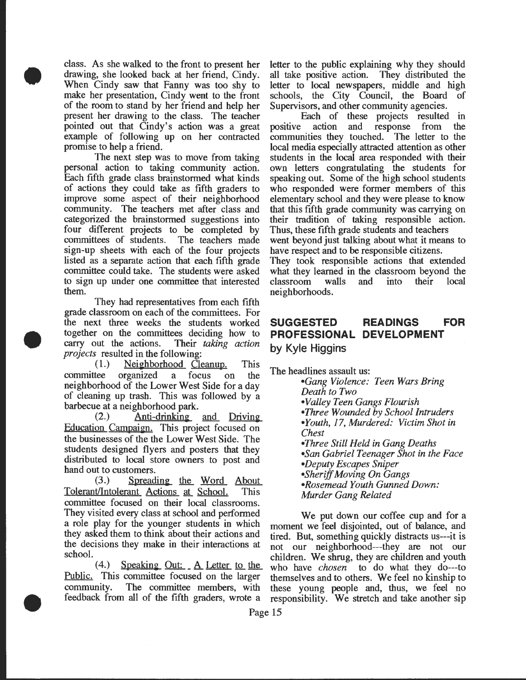class. As she walked to the front to present her drawing, she looked back at her friend, Cindy. When Cindy saw that Fanny was too shy to make her presentation, Cindy went to the front of the room to stand by her friend and help her present her drawing to the class. The teacher pointed out that Cindy's action was a great example of following up on her contracted promise to help a friend.

•

•

•

The next step was to move from taking personal action to taking community action. Each fifth grade class brainstormed what kinds of actions they could take as fifth graders to improve some aspect of their neighborhood community. The teachers met after class and categorized the brainstormed suggestions into four different projects to be completed by committees of students. The teachers made sign-up sheets with each of the four projects listed as a separate action that each fifth grade committee could take. The students were asked to sign up under one committee that interested them.

They had representatives from each fifth grade classroom on each of the committees. For the next three weeks the students worked together on the committees deciding how to carry out the actions. Their *taking action projects* resulted in the following:

 $(1.)$  Neighborhood Cleanup. This committee organized a focus on the neighborhood of the Lower West Side for a day of cleaning up trash. This was followed by a barbecue at a neighborhood park.

 $(2.)$  Anti-drinking and Driving Education Campaign. This project focused on the businesses of the the Lower West Side. The students designed flyers and posters that they distributed to local store owners to post and hand out to customers.

 $(3.)$  Spreading the Word About Tolerant/Intolerant Actions at School. This committee focused on their local classrooms. They visited every class at school and performed<br>a role play for the younger students in which moment we feel disjointed out of balance and a role play for the younger students in which moment we feel disjointed, out of balance, and they asked them to think about their actions and tired. But something quickly distracts us----they asked them to think about their actions and tired. But, something quickly distracts us---it is<br>the decisions they make in their interactions at not our neighborhood---they are not our the decisions they make in their interactions at not our neighborhood---they are not our school.

(4.) Speaking Out: A Letter to the who have *chosen* to do what they do---to Public. This committee focused on the larger themselves and to others. We feel no kinship to community. The committee members, with these young people and, thus, we feel no feedback from all of the fifth graders, wrote a responsibility. We stretch and take another sip

letter to the public explaining why they should all take positive action. They distributed the letter to local newspapers, middle and high schools, the City Council, the Board of Supervisors, and other community agencies.

Each of these projects resulted in positive action and response from the communities they touched. The letter to the local media especially attracted attention as other students in the local area responded with their own letters congratulating the students for speaking out. Some of the high school students who responded were former members of this elementary school and they were please to know that this fifth grade community was carrying on their tradition of taking responsible action. Thus, these fifth grade students and teachers went beyond just talking about what it means to have respect and to be responsible citizens.

They took responsible actions that extended what they learned in the classroom beyond the classroom walls and into their local neighborhoods.

# **SUGGESTED READINGS FOR PROFESSIONAL DEVELOPMENT by Kyle Higgins**

The headlines assault us:

*•Gang Violence: Teen Wars Bring Death to Two •Valley Teen Gangs Flourish •Three Wounded by School Intruders*  • *Youth, 17, Murdered: Victim Shot in Chest •Three Still Held in Gang Deaths •San Gabriel Teenager Shot in the Face •Deputy Escapes Sniper •Sheriff Moving On Gangs •Rosemead Youth Gunned Down: Murder Gang Related* 

 $s(4.)$  Speaking Out: A Letter to the who have chosen to do what they do--to themselves and to others. We feel no kinship to responsibility. We stretch and take another sip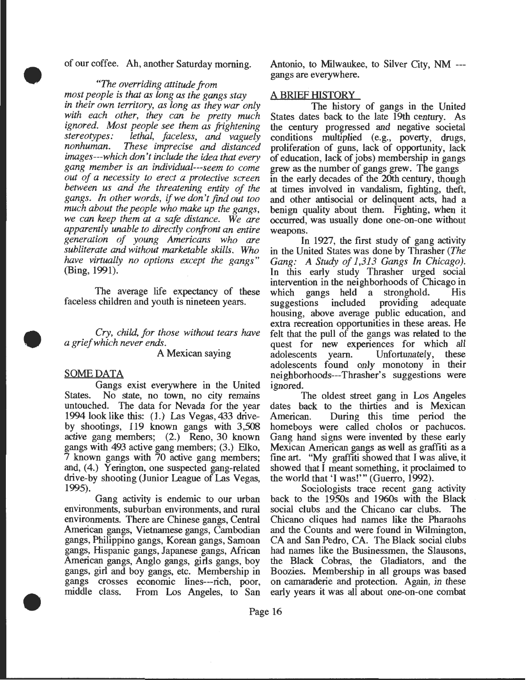of our coffee. Ah, another Saturday morning.

#### *"The overriding attitude from*

*most people is that as long as the gangs stay in their own territory, as long as they war only with each other, they can be pretty much ignored. Most people see them as frightening stereotypes: lethal, faceless, and vaguely These imprecise and distanced images---which don't include the idea that every gang member is an individual---seem to come out of a necessity to erect a protective screen between us and the threatening entity of the gangs. In other words,* if *we don't find out too much about the people who make up the gangs, we can keep them at a safe distance. We are apparently unable to directly confront an entire generation of young Americans who are subliterate and without marketable skills. Who have virtually no options except the gangs"*  (Bing, 1991).

The average life expectancy of these faceless children and youth is nineteen years.

*Cry, child, for those without tears have a grief which never ends.* 

A Mexican saying

#### SOME DATA

•

•

•

Gangs exist everywhere in the United States. No state, no town, no city remains untouched. The data for Nevada for the year 1994 look like this: ( 1.) Las Vegas, 433 driveby shootings, 119 known gangs with 3,508 active gang members; (2.) Reno, 30 known gangs with 493 active gang members; (3.) Elko, 7 known gangs with 70 active gang members; and, (4.) Yerington, one suspected gang-related drive-by shooting (Junior League of Las Vegas, 1995).

Gang activity is endemic to our urban environments, suburban environments, and rural environments. There are Chinese gangs, Central American gangs, Vietnamese gangs, Cambodian gangs, Philippino gangs, Korean gangs, Samoan gangs, Hispanic gangs, Japanese gangs, Mrican American gangs, Anglo gangs, girls gangs, boy gangs, girl and boy gangs, etc. Membership in gangs crosses economic lines---rich, poor, middle class. From Los Angeles, to San

Antonio, to Milwaukee, to Silver City, NM -- gangs are everywhere.

## A BRIEF HISTORY

The history of gangs in the United States dates back to the late 19th century. As the century progressed and negative societal conditions multiplied (e.g., poverty, drugs, proliferation of guns, lack of opportunity, lack of education, lack of jobs) membership in gangs grew as the number of gangs grew. The gangs in the early decades of the 20th century, though at times involved in vandalism, fighting, theft, and other antisocial or delinquent acts, had a benign quality about them. Fighting, when it occurred, was usually done one-on-one without weapons.

In 1927, the first study of gang activity in the United States was done by Thrasher *(The Gang: A Study of 1,313 Gangs In Chicago).*  In this early study Thrasher urged social intervention in the neighborhoods of Chicago in<br>which gangs held a stronghold. His gangs held a stronghold. His<br>ons included providing adequate suggestions housing, above average public education, and extra recreation opportunities in these areas. He felt that the pull of the gangs was related to the quest for new experiences for which all<br>adolescents yearn. Unfortunately, these Unfortunately, these adolescents found only monotony in their neighborhoods---Thrasher's suggestions were ignored.

The oldest street gang in Los Angeles dates back to the thirties and is Mexican American. During this time period the homeboys were called cholos or pachucos. Gang hand signs were invented by these early Mexican American gangs as well as graffiti as a fine art. "My graffiti showed that I was alive, it showed that I meant something, it proclaimed to the world that 'I was!"' (Guerro, 1992).

Sociologists trace recent gang activity back to the 1950s and 1960s with the Black social clubs and the Chicano car clubs. The Chicano cliques had names like the Pharaohs and the Counts and were found in Wilmington, CA and San Pedro, CA. The Black social clubs had names like the Businessmen, the Slausons, the Black Cobras, the Gladiators, and the Boozies. Membership in all groups was based on camaraderie and protection. Again, in these early years it was all about one-on-one combat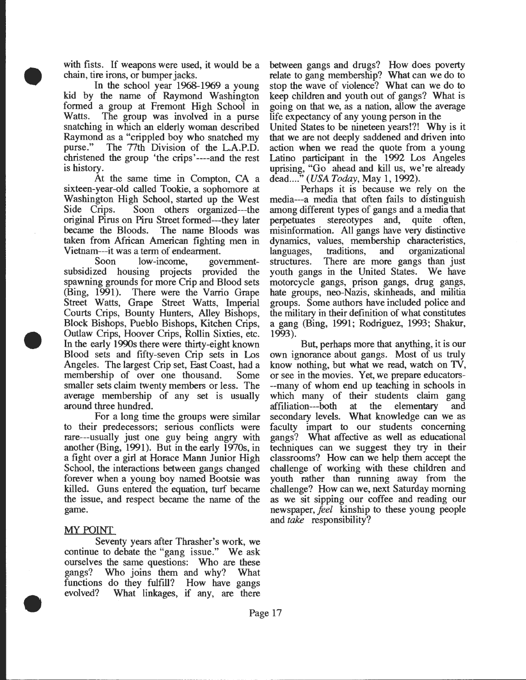with fists. If weapons were used, it would be a chain, tire irons, or bumper jacks.

• In the school year 1968-1969 a young kid by the name of Raymond Washington formed a group at Fremont High School in Watts. The group was involved in a purse snatching in which an elderly woman described Raymond as a "crippled boy who snatched my purse." The 77th Division of the L.A.P.D. christened the group 'the crips '----and the rest is history.

> At the same time in Compton, CA a sixteen-year-old called Tookie, a sophomore at Washington High School, started up the West Side Crips. Soon others organized---the original Pirus on Piru Street formed---they later The name Bloods was taken from African American fighting men in Vietnam---it was a term of endearment.

> Soon low-income, governmentsubsidized housing projects provided the spawning grounds for more Crip and Blood sets (Bing, 1991). There were the Varrio Grape Street Watts, Grape Street Watts, Imperial Courts Crips, Bounty Hunters, Alley Bishops, Block Bishops, Pueblo Bishops, Kitchen Crips, Outlaw Crips, Hoover Crips, Rollin Sixties, etc. In the early 1990s there were thirty-eight known Blood sets and fifty-seven Crip sets in Los Angeles. The largest Crip set, East Coast, had a membership of over one thousand. Some smaller sets claim twenty members or less. The average membership of any set is usually around three hundred.

> For a long time the groups were similar to their predecessors; serious conflicts were rare---usually just one guy being angry with another (Bing, 1991). But in the early 1970s, in a fight over a girl at Horace Mann Junior High School, the interactions between gangs changed forever when a young boy named Bootsie was killed. Guns entered the equation, turf became the issue, and respect became the name of the game.

#### MY POINT

•

•

Seventy years after Thrasher's work, we continue to debate the "gang issue." We ask ourselves the same questions: Who are these gangs? Who joins them and why? What functions do they fulfill? How have gangs evolved? What linkages, if any, are there between gangs and drugs? How does poverty relate to gang membership? What can we do to stop the wave of violence? What can we do to keep children and youth out of gangs? What is going on that we, as a nation, allow the average life expectancy of any young person in the

United States to be nineteen years!?! Why is it that we are not deeply saddened and driven into action when we read the quote from a young Latino participant in the 1992 Los Angeles uprising, "Go ahead and kill us, we're already dead...." (USA Today, May 1, 1992).

Perhaps it is because we rely on the media---a media that often fails to distinguish among different types of gangs and a media that perpetuates stereotypes and, quite often, misinformation. All gangs have very distinctive dynamics, values, membership characteristics, languages, traditions, and organizational structures. There are more gangs than just youth gangs in the United States. We have motorcycle gangs, prison gangs, drug gangs, hate groups, neo-Nazis, skinheads, and militia groups. Some authors have included police and the military in their definition of what constitutes a gang (Bing, 1991; Rodriguez, 1993; Shakur, 1993).

But, perhaps more that anything, it is our own ignorance about gangs. Most of us truly know nothing, but what we read, watch on TV, or see in the movies. Yet, we prepare educators- --many of whom end up teaching in schools in which many of their students claim gang affiliation---both at the elementary and secondary levels. What knowledge can we as faculty impart to our students concerning gangs? What affective as well as educational techniques can we suggest they try in their classrooms? How can we help them accept the challenge of working with these children and youth rather than running away from the challenge? How can we, next Saturday morning as we sit sipping our coffee and reading our newspaper, *feel* kinship to these young people and *take* responsibility?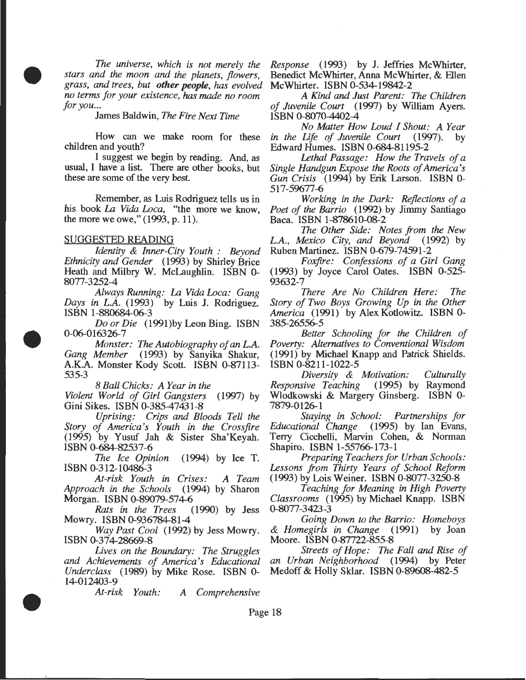*The universe, which is not merely the stars and the moon and the planets, flowers, grass, and trees, but other people, has evolved no terms for your existence, has made no room for you...* 

James Baldwin, *The Fire Next Time* 

How can we make room for these children and youth?

I suggest we begin by reading. And, as usual, I have a list. There are other books, but these are some of the very best.

Remember, as Luis Rodriguez tells us in his book La *Vida Loca,* "the more we know, the more we owe," (1993, p. 11).

#### SUGGESTED READING

•

•

•

*Identity* & *Inner-City Youth : Beyond Ethnicity and Gender* (1993) by Shirley Brice Heath and Milbry W. McLaughlin. ISBN 0- 8077-3252-4

*Always Running:* La *Vida Loca: Gang Days in L.A.* (1993) by Luis J. Rodriguez. ISBN 1-880684-06-3

*Do or Die* (1991)by Leon Bing. ISBN 0-06-016326-7

*Monster: The Autobiography of an L.A. Gang Member* (1993) by Sanyika Shakur, A.K.A. Monster Kody Scott. ISBN 0-87113- 535-3

*8 Ball Chicks: A Year in the* 

*Violent World of Girl Gangsters* (1997) by Gini Sikes. ISBN 0-385-47431-8

*Uprising: Crips and Bloods Tell the Story of America's Youth in the Crossfire*  (1995) by Yusuf Jah & Sister Sha'Keyah. ISBN 0-684-82537-6

*The Ice Opinion* (1994) by Ice T. ISBN 0-312-10486-3

*At-risk Youth in Crises: A Team Approach in the Schools* (1994) by Sharon Morgan. ISBN 0-89079-574-6

*Rats in the Trees* (1990) by Jess Mowry. ISBN 0-936784-81-4

*Way Past Cool* (1992) by Jess Mowry. ISBN 0-374-28669-8

*Lives on the Boundary: The Struggles and Achievements of America's Educational Underclass* (1989) by Mike Rose. ISBN 0- 14-012403-9

*At-risk Youth: A Comprehensive* 

*Response* (1993) by **J.** Jeffries McWhirter, Benedict McWhirter, Anna McWhirter, & Ellen McWhirter. ISBN 0-534-19842-2

*A Kind and Just Parent: The Children of Juvenile Court* (1997) by William Ayers. ISBN 0-8070-4402-4

*No Matter How Loud I Shout: A Year in the Life of Juvenile Court* (1997). Edward Humes. ISBN 0-684-81195-2

*Lethal Passage: How the Travels of a Single Handgun Expose the Roots of America's Gun Crisis* (1994) by Erik Larson. ISBN 0- 517-59677-6

*Working in the Dark: Reflections of a Poet of the Barrio* (1992) by Jimmy Santiago Baca. ISBN 1-878610-08-2

*The Other Side: Notes from the New L.A., Mexico City, and Beyond* (1992) by Ruben Martinez. ISBN 0-679-74591-2

*Foxfire: Confessions of a Girl Gang*  (1993) by Joyce Carol Oates. ISBN 0-525- 93632-7

*There Are No Children Here: The Story of Two Boys Growing Up in the Other America* (1991) by Alex Kotlowitz. ISBN 0- 385-26556-5

*Better Schooling for the Children of Poverty: Alternatives to Conventional Wisdom*  (1991) by Michael Knapp and Patrick Shields. ISBN 0-8211-1022-5

*Diversity & Motivation: Culturally Responsive Teaching* (1995) by Raymond Wlodkowski & Margery Ginsberg. ISBN 0- 7879-0126-1

*Staying in School: Partnerships for Educational Change* ( 1995) by Ian Evans, Terry Cicchelli, Marvin Cohen, & Norman Shapiro. ISBN 1-55766-173-1

*Preparing Teachers for Urban Schools: Lessons from Thirty Years of School Reform*  (1993) by Lois Weiner. ISBN 0-8077-3250-8

*Teaching for Meaning in High Poverty Classrooms* (1995) by Michael Knapp. ISBN 0-8077-3423-3

*Going Down to the Barrio: Homeboys & Homegirls in Change* (1991) by Joan Moore. ISBN 0-87722-855-8

*Streets of Hope: The Fall and Rise of an Urban Neighborhood* (1994) by Peter Medoff & Holly Sklar. ISBN 0-89608-482-5